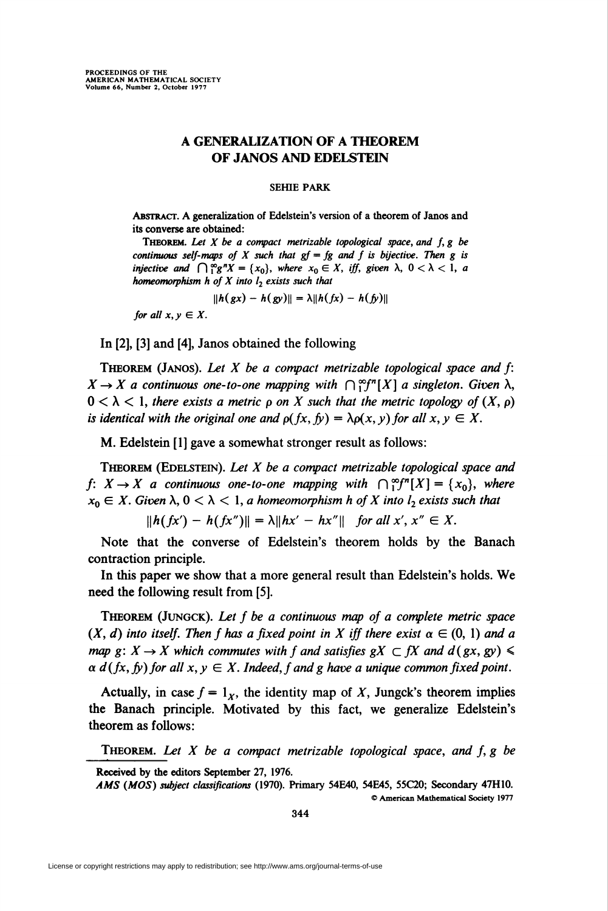## A GENERALIZATION OF A THEOREM OF JANOS AND EDELSTEIN

## SEHIE PARK

Abstract. A generalization of Edelstein's version of a theorem of Janos and its converse are obtained:

**THEOREM.** Let  $X$  be a compact metrizable topological space, and  $f$ ,  $g$  be continuous self-maps of X such that  $gf = fg$  and f is bijective. Then g is injective and  $\bigcap_{i=1}^{\infty} g^n X = \{x_0\}$ , where  $x_0 \in X$ , iff, given  $\lambda$ ,  $0 < \lambda < 1$ , a homeomorphism h of X into  $l_2$  exists such that

$$
\|h(gx) - h(gy)\| = \lambda \|h(fx) - h(fy)\|
$$

for all  $x, y \in X$ .

In [2], [3] and [4], Janos obtained the following

**THEOREM** (JANOS). Let X be a compact metrizable topological space and  $f$ :  $X \to X$  a continuous one-to-one mapping with  $\bigcap_{i=1}^{\infty} f^{n}[X]$  a singleton. Given  $\lambda$ ,  $0 < \lambda < 1$ , there exists a metric  $\rho$  on X such that the metric topology of  $(X, \rho)$ is identical with the original one and  $\rho(fx, fy) = \lambda \rho(x, y)$  for all  $x, y \in X$ .

M. Edelstein [1] gave a somewhat stronger result as follows:

THEOREM (EDELSTEIN). Let  $X$  be a compact metrizable topological space and  $f: X \to X$  a continuous one-to-one mapping with  $\bigcap_{i=1}^{\infty} f^{n}[X] = \{x_0\}$ , where  $x_0 \in X$ . Given  $\lambda$ ,  $0 < \lambda < 1$ , a homeomorphism h of X into  $l_2$  exists such that

$$
||h(fx') - h(fx'')|| = \lambda ||hx' - hx''|| \text{ for all } x', x'' \in X.
$$

Note that the converse of Edelstein's theorem holds by the Banach contraction principle.

In this paper we show that a more general result than Edelstein's holds. We need the following result from [5].

Theorem (Jungck). Let f be a continuous map of a complete metric space  $(X, d)$  into itself. Then f has a fixed point in X iff there exist  $\alpha \in (0, 1)$  and a map  $g: X \to X$  which commutes with f and satisfies  $gX \subset fX$  and  $d(gx, gy) \leq$  $\alpha$  d(fx, fy) for all  $x, y \in X$ . Indeed, f and g have a unique common fixed point.

Actually, in case  $f = 1_x$ , the identity map of X, Jungck's theorem implies the Banach principle. Motivated by this fact, we generalize Edelstein's theorem as follows:

**THEOREM.** Let X be a compact metrizable topological space, and  $f, g$  be Received by the editors September 27, 1976.

© American Mathematical Society 1977

AMS (MOS) subject classifications (1970). Primary 54E40, 54E45, 55C20; Secondary 47H10.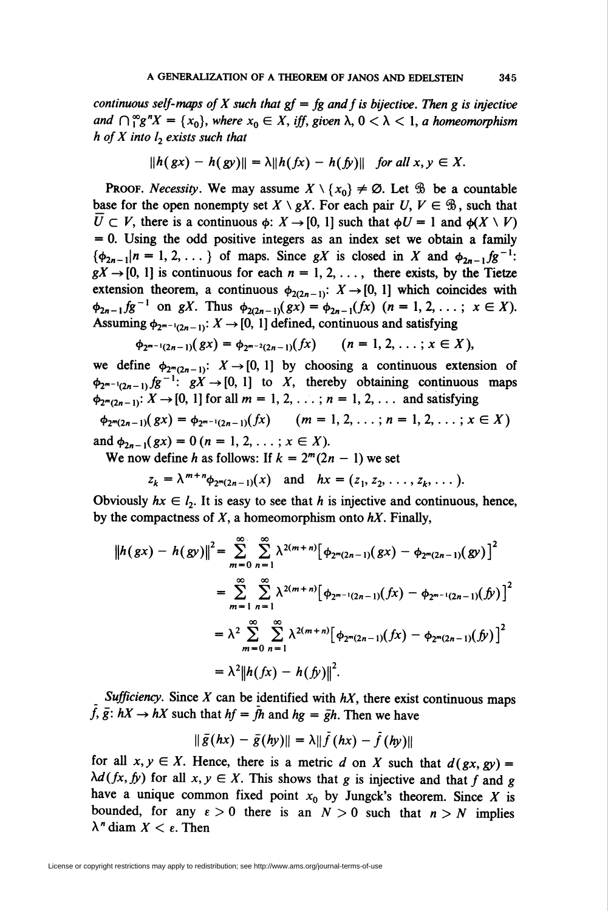continuous self-maps of X such that  $gf = fg$  and f is bijective. Then g is injective and  $\bigcap_{i=1}^{\infty} S^n X = \{x_0\}$ , where  $x_0 \in X$ , iff, given  $\lambda$ ,  $0 < \lambda < 1$ , a homeomorphism h of X into  $l_2$  exists such that

$$
||h(gx)-h(gy)|| = \lambda ||h(fx)-h(fy)|| \text{ for all } x, y \in X.
$$

**PROOF.** Necessity. We may assume  $X \setminus \{x_0\} \neq \emptyset$ . Let  $\mathcal{B}$  be a countable base for the open nonempty set  $X \setminus gX$ . For each pair  $U, V \in \mathcal{B}$ , such that  $U \subset V$ , there is a continuous  $\phi: X \to [0, 1]$  such that  $\phi U = 1$  and  $\phi(X \setminus V)$ = 0. Using the odd positive integers as an index set we obtain a family  $\{\phi_{2n-1}|n = 1, 2, ...\}$  of maps. Since gX is closed in X and  $\phi_{2n-1}/g^{-1}$ :  $gX \rightarrow [0, 1]$  is continuous for each  $n = 1, 2, \ldots$ , there exists, by the Tietze extension theorem, a continuous  $\phi_{2(2n-1)}: X \to [0, 1]$  which coincides with  $\phi_{2n-1}fg^{-1}$  on gX. Thus  $\phi_{2(2n-1)}(gx) = \phi_{2n-1}(fx)$   $(n = 1, 2, \ldots; x \in X).$ Assuming  $\phi_{2^{m-1}(2n-1)}: X \to [0, 1]$  defined, continuous and satisfying

$$
\phi_{2^{m-1}(2n-1)}(gx) = \phi_{2^{m-2}(2n-1)}(fx) \qquad (n = 1, 2, \ldots; x \in X),
$$

we define  $\phi_{2^m(2n-1)}$ :  $X \rightarrow [0, 1]$  by choosing a continuous extension of  $\phi_{2^{m-1}(2n-1)}$   $fg^{-1}$ :  $gX \rightarrow [0, 1]$  to X, thereby obtaining continuous maps  $\phi_{2^m(2n-1)}: X \to [0, 1]$  for all  $m = 1, 2, \ldots; n = 1, 2, \ldots$  and satisfying  $\phi_{2^m(2n-1)}(gx) = \phi_{2^{m-1}(2n-1)}(fx)$   $(m = 1, 2, \ldots; n = 1, 2, \ldots; x \in X)$ and  $\phi_{2n-1}(gx) = 0$   $(n = 1, 2, \ldots; x \in X)$ .

We now define h as follows: If  $k = 2<sup>m</sup>(2n - 1)$  we set

$$
z_k = \lambda^{m+n} \phi_{2^m(2n-1)}(x)
$$
 and  $hx = (z_1, z_2, \ldots, z_k, \ldots).$ 

Obviously  $hx \in l_2$ . It is easy to see that h is injective and continuous, hence, by the compactness of  $X$ , a homeomorphism onto  $hX$ . Finally,

$$
||h(gx) - h(gy)||^2 = \sum_{m=0}^{\infty} \sum_{n=1}^{\infty} \lambda^{2(m+n)} [\phi_{2^m(2n-1)}(gx) - \phi_{2^m(2n-1)}(gy)]^2
$$
  
= 
$$
\sum_{m=1}^{\infty} \sum_{n=1}^{\infty} \lambda^{2(m+n)} [\phi_{2^{m-1}(2n-1)}(fx) - \phi_{2^{m-1}(2n-1)}(fy)]^2
$$
  
= 
$$
\lambda^2 \sum_{m=0}^{\infty} \sum_{n=1}^{\infty} \lambda^{2(m+n)} [\phi_{2^m(2n-1)}(fx) - \phi_{2^m(2n-1)}(fy)]^2
$$
  
= 
$$
\lambda^2 ||h(fx) - h(fy)||^2.
$$

Sufficiency. Since X can be identified with  $hX$ , there exist continuous maps  $f, \bar{g}: hX \to hX$  such that  $hf = fh$  and  $hg = \bar{g}h$ . Then we have

$$
\|\bar{g}(hx)-\bar{g}(hy)\|=\lambda\|\bar{f}(hx)-\bar{f}(hy)\|
$$

for all  $x, y \in X$ . Hence, there is a metric d on X such that  $d(gx, gy) =$  $\lambda d(fx, fy)$  for all  $x, y \in X$ . This shows that g is injective and that f and g have a unique common fixed point  $x_0$  by Jungck's theorem. Since X is bounded, for any  $\epsilon > 0$  there is an  $N > 0$  such that  $n > N$  implies  $\lambda^n$  diam  $X \leq \varepsilon$ . Then